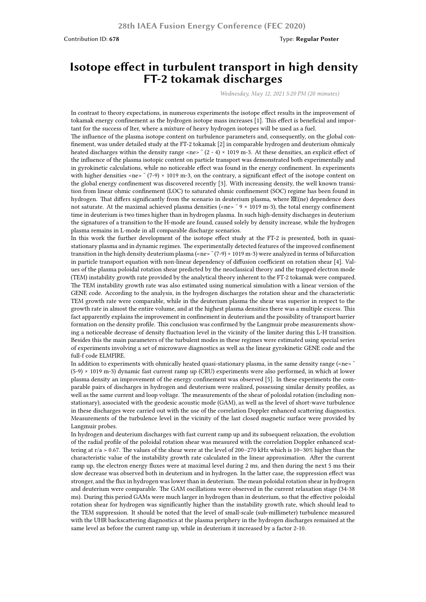## **Isotope effect in turbulent transport in high density FT-2 tokamak discharges**

*Wednesday, May 12, 2021 5:20 PM (20 minutes)*

In contrast to theory expectations, in numerous experiments the isotope effect results in the improvement of tokamak energy confinement as the hydrogen isotope mass increases [1]. This effect is beneficial and important for the success of Iter, where a mixture of heavy hydrogen isotopes will be used as a fuel.

The influence of the plasma isotope content on turbulence parameters and, consequently, on the global confinement, was under detailed study at the FT-2 tokamak [2] in comparable hydrogen and deuterium ohmicaly heated discharges within the density range <ne>  $\sim$  (2 - 4) × 1019 m-3. At these densities, an explicit effect of the influence of the plasma isotopic content on particle transport was demonstrated both experimentally and in gyrokinetic calculations, while no noticeable effect was found in the energy confinement. In experiments with higher densities  $\langle n \rangle$  =  $(7-9) \times 1019$  m-3, on the contrary, a significant effect of the isotope content on the global energy confinement was discovered recently [3]. With increasing density, the well known transition from linear ohmic confinement (LOC) to saturated ohmic confinement (SOC) regime has been found in hydrogen. That differs significantly from the scenario in deuterium plasma, where  $\mathbb{Z}E$ (ne) dependence does not saturate. At the maximal achieved plasma densities (<ne> ~ 9 × 1019 m-3), the total energy confinement time in deuterium is two times higher than in hydrogen plasma. In such high-density discharges in deuterium the signatures of a transition to the H-mode are found, caused solely by density increase, while the hydrogen plasma remains in L-mode in all comparable discharge scenarios.

In this work the further development of the isotope effect study at the FT-2 is presented, both in quasistationary plasma and in dynamic regimes. The experimentally detected features of the improved confinement transition in the high density deuterium plasma (<ne>  $\zeta$  (7-9) × 1019 m-3) were analyzed in terms of bifurcation in particle transport equation with non-linear dependency of diffusion coefficient on rotation shear [4]. Values of the plasma poloidal rotation shear predicted by the neoclassical theory and the trapped electron mode (TEM) instability growth rate provided by the analytical theory inherent to the FT-2 tokamak were compared. The TEM instability growth rate was also estimated using numerical simulation with a linear version of the GENE code. According to the analysis, in the hydrogen discharges the rotation shear and the characteristic TEM growth rate were comparable, while in the deuterium plasma the shear was superior in respect to the growth rate in almost the entire volume, and at the highest plasma densities there was a multiple excess. This fact apparently explains the improvement in confinement in deuterium and the possibility of transport barrier formation on the density profile. This conclusion was confirmed by the Langmuir probe measurements showing a noticeable decrease of density fluctuation level in the vicinity of the limiter during this L-H transition. Besides this the main parameters of the turbulent modes in these regimes were estimated using special series of experiments involving a set of microwave diagnostics as well as the linear gyrokinetic GENE code and the full-f code ELMFIRE.

In addition to experiments with ohmically heated quasi-stationary plasma, in the same density range (<ne>  $\sim$ (5-9) × 1019 m-3) dynamic fast current ramp up (CRU) experiments were also performed, in which at lower plasma density an improvement of the energy confinement was observed [5]. In these experiments the comparable pairs of discharges in hydrogen and deuterium were realized, possessing similar density profiles, as well as the same current and loop voltage. The measurements of the shear of poloidal rotation (including nonstationary), associated with the geodesic acoustic mode (GAM), as well as the level of short-wave turbulence in these discharges were carried out with the use of the correlation Doppler enhanced scattering diagnostics. Measurements of the turbulence level in the vicinity of the last closed magnetic surface were provided by Langmuir probes.

In hydrogen and deuterium discharges with fast current ramp up and its subsequent relaxation, the evolution of the radial profile of the poloidal rotation shear was measured with the correlation Doppler enhanced scattering at r/a > 0.67. The values of the shear were at the level of 200–270 kHz which is 10–30% higher than the characteristic value of the instability growth rate calculated in the linear approximation. After the current ramp up, the electron energy fluxes were at maximal level during 2 ms, and then during the next 5 ms their slow decrease was observed both in deuterium and in hydrogen. In the latter case, the suppression effect was stronger, and the flux in hydrogen was lower than in deuterium. The mean poloidal rotation shear in hydrogen and deuterium were comparable. The GAM oscillations were observed in the current relaxation stage (34-38 ms). During this period GAMs were much larger in hydrogen than in deuterium, so that the effective poloidal rotation shear for hydrogen was significantly higher than the instability growth rate, which should lead to the TEM suppression. It should be noted that the level of small-scale (sub-millimeter) turbulence measured with the UHR backscattering diagnostics at the plasma periphery in the hydrogen discharges remained at the same level as before the current ramp up, while in deuterium it increased by a factor 2-10.